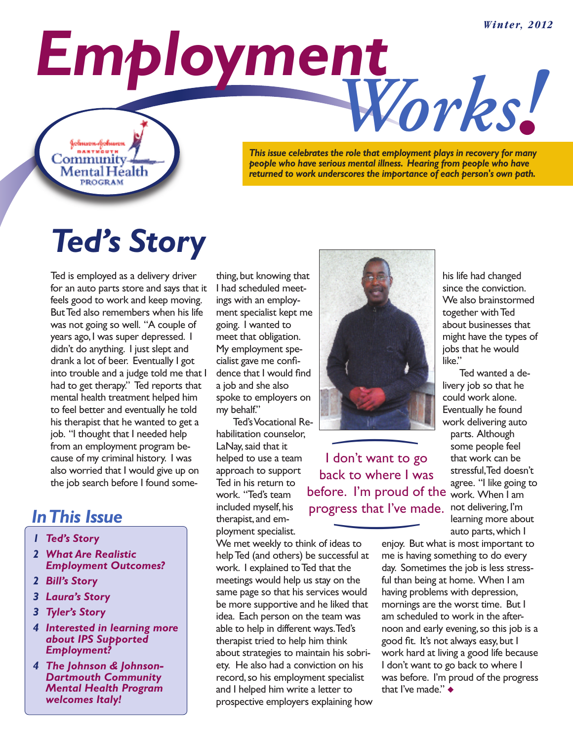*Employment Works*

**BARTWOUT** Community Mental Héalth **PROGRAM** 

kolmaon-kolmann

*! This issue celebrates the role that employment plays in recovery for many people who have serious mental illness. Hearing from people who have returned to work underscores the importance of each person's own path.*

# *Ted's Story*

Ted is employed as a delivery driver for an auto parts store and says that it feels good to work and keep moving. ButTed also remembers when his life was not going so well. "A couple of years ago, I was super depressed. I didn't do anything. I just slept and drank a lot of beer. Eventually I got into trouble and a judge told me that I had to get therapy." Ted reports that mental health treatment helped him to feel better and eventually he told his therapist that he wanted to get a job. "I thought that I needed help from an employment program because of my criminal history. I was also worried that I would give up on the job search before I found some-

#### *InThis Issue*

- *1 Ted's Story*
- *2 What Are Realistic Employment Outcomes?*
- *2 Bill's Story*
- *3 Laura's Story*
- *3 Tyler's Story*
- *4 Interested in learning more about IPS Supported Employment?*
- *4 The Johnson & Johnson-Dartmouth Community Mental Health Program welcomes Italy!*

thing, but knowing that I had scheduled meetings with an employment specialist kept me going. I wanted to meet that obligation. My employment specialist gave me confidence that I would find a job and she also spoke to employers on my behalf."

Ted'sVocational Rehabilitation counselor, LaNay, said that it helped to use a team approach to support Ted in his return to work. "Ted's team included myself, his therapist, and employment specialist.

progress that I've made. not delivering, I'm I don't want to go back to where I was before. I'm proud of the

We met weekly to think of ideas to helpTed (and others) be successful at work. I explained to Ted that the meetings would help us stay on the same page so that his services would be more supportive and he liked that idea. Each person on the team was able to help in different ways.Ted's therapist tried to help him think about strategies to maintain his sobriety. He also had a conviction on his record, so his employment specialist and I helped him write a letter to prospective employers explaining how



<u>)</u> <u>)</u>

his life had changed since the conviction. We also brainstormed together with Ted about businesses that might have the types of jobs that he would like."

Ted wanted a delivery job so that he could work alone. Eventually he found work delivering auto parts. Although some people feel that work can be stressful,Ted doesn't agree. "I like going to work. When I am learning more about auto parts,which I

enjoy. But what is most important to me is having something to do every day. Sometimes the job is less stressful than being at home. When I am having problems with depression, mornings are the worst time. But I am scheduled to work in the afternoon and early evening, so this job is a good fit. It's not always easy, but I work hard at living a good life because I don't want to go back to where I was before. I'm proud of the progress that I've made." **◆**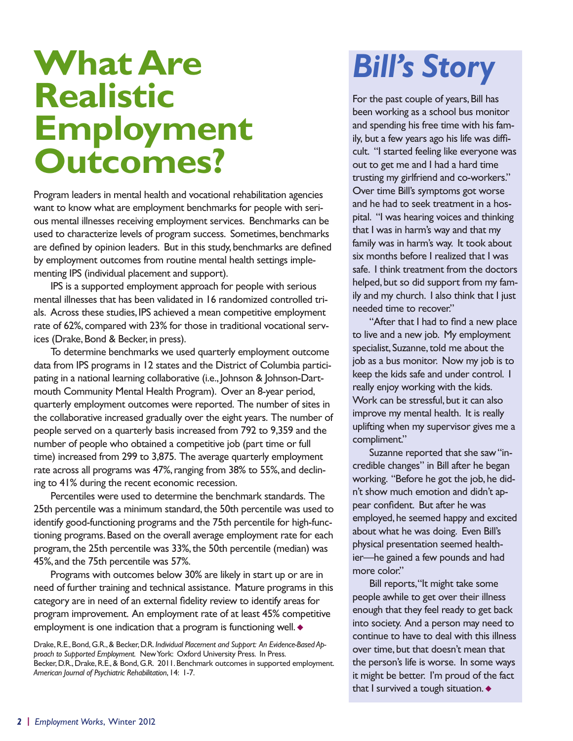### **WhatAre Realistic Employment Outcomes?**

Program leaders in mental health and vocational rehabilitation agencies want to know what are employment benchmarks for people with serious mental illnesses receiving employment services. Benchmarks can be used to characterize levels of program success. Sometimes, benchmarks are defined by opinion leaders. But in this study, benchmarks are defined by employment outcomes from routine mental health settings implementing IPS (individual placement and support).

IPS is a supported employment approach for people with serious mental illnesses that has been validated in 16 randomized controlled trials. Across these studies, IPS achieved a mean competitive employment rate of 62%, compared with 23% for those in traditional vocational services (Drake, Bond & Becker, in press).

To determine benchmarks we used quarterly employment outcome data from IPS programs in 12 states and the District of Columbia participating in a national learning collaborative (i.e., Johnson & Johnson-Dartmouth Community Mental Health Program). Over an 8-year period, quarterly employment outcomes were reported. The number of sites in the collaborative increased gradually over the eight years. The number of people served on a quarterly basis increased from 792 to 9,359 and the number of people who obtained a competitive job (part time or full time) increased from 299 to 3,875. The average quarterly employment rate across all programs was 47%, ranging from 38% to 55%, and declining to 41% during the recent economic recession.

Percentiles were used to determine the benchmark standards. The 25th percentile was a minimum standard, the 50th percentile was used to identify good-functioning programs and the 75th percentile for high-functioning programs. Based on the overall average employment rate for each program, the 25th percentile was 33%, the 50th percentile (median) was 45%, and the 75th percentile was 57%.

Programs with outcomes below 30% are likely in start up or are in need of further training and technical assistance. Mature programs in this category are in need of an external fidelity review to identify areas for program improvement. An employment rate of at least 45% competitive employment is one indication that a program is functioning well. **◆**

Drake,R.E.,Bond,G.R.,& Becker,D.R. *Individual Placement and Support: An Evidence-Based Approach to Supported Employment.* NewYork: Oxford University Press. In Press. Becker, D.R., Drake, R.E., & Bond, G.R. 2011. Benchmark outcomes in supported employment. *American Journal of Psychiatric Rehabilitation*, 14: 1-7.

### *Bill's Story*

For the past couple of years, Bill has been working as a school bus monitor and spending his free time with his family, but a few years ago his life was difficult. "I started feeling like everyone was out to get me and I had a hard time trusting my girlfriend and co-workers." Over time Bill's symptoms got worse and he had to seek treatment in a hospital. "I was hearing voices and thinking that I was in harm's way and that my family was in harm's way. It took about six months before I realized that I was safe. I think treatment from the doctors helped, but so did support from my family and my church. I also think that I just needed time to recover."

"After that I had to find a new place to live and a new job. My employment specialist, Suzanne, told me about the job as a bus monitor. Now my job is to keep the kids safe and under control. I really enjoy working with the kids. Work can be stressful, but it can also improve my mental health. It is really uplifting when my supervisor gives me a compliment."

Suzanne reported that she saw"incredible changes" in Bill after he began working. "Before he got the job, he didn't show much emotion and didn't appear confident. But after he was employed, he seemed happy and excited about what he was doing. Even Bill's physical presentation seemed healthier—he gained a few pounds and had more color."

Bill reports,"It might take some people awhile to get over their illness enough that they feel ready to get back into society. And a person may need to continue to have to deal with this illness over time, but that doesn't mean that the person's life is worse. In some ways it might be better. I'm proud of the fact that I survived a tough situation. **◆**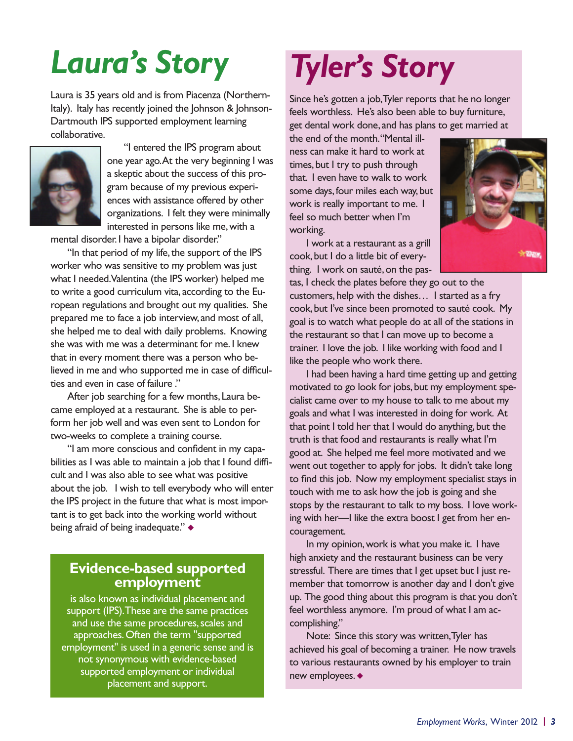# *Laura's Story*

Laura is 35 years old and is from Piacenza (Northern-Italy). Italy has recently joined the Johnson & Johnson-Dartmouth IPS supported employment learning collaborative.



"I entered the IPS program about one year ago.At the very beginning I was a skeptic about the success of this program because of my previous experiences with assistance offered by other organizations. I felt they were minimally interested in persons like me, with a

mental disorder. I have a bipolar disorder."

"In that period of my life, the support of the IPS worker who was sensitive to my problem was just what I needed.Valentina (the IPS worker) helped me to write a good curriculum vita, according to the European regulations and brought out my qualities. She prepared me to face a job interview, and most of all, she helped me to deal with daily problems. Knowing she was with me was a determinant for me. I knew that in every moment there was a person who believed in me and who supported me in case of difficulties and even in case of failure ."

After job searching for a few months, Laura became employed at a restaurant. She is able to perform her job well and was even sent to London for two-weeks to complete a training course.

"I am more conscious and confident in my capabilities as I was able to maintain a job that I found difficult and I was also able to see what was positive about the job. I wish to tell everybody who will enter the IPS project in the future that what is most important is to get back into the working world without being afraid of being inadequate." **◆**

#### **Evidence-based supported employment**

is also known as individual placement and support (IPS).These are the same practices and use the same procedures, scales and approaches.Often the term "supported employment" is used in a generic sense and is not synonymous with evidence-based supported employment or individual placement and support.

## *Tyler's Story*

Since he's gotten a job,Tyler reports that he no longer feels worthless. He's also been able to buy furniture, get dental work done, and has plans to get married at

the end of the month."Mental illness can make it hard to work at times, but I try to push through that. I even have to walk to work some days, four miles each way, but work is really important to me. I feel so much better when I'm working.

I work at a restaurant as a grill cook, but I do a little bit of everything. I work on sauté,on the pas-



tas, I check the plates before they go out to the customers, help with the dishes… I started as a fry cook, but I've since been promoted to sauté cook. My goal is to watch what people do at all of the stations in the restaurant so that I can move up to become a trainer. I love the job. I like working with food and I like the people who work there.

I had been having a hard time getting up and getting motivated to go look for jobs, but my employment specialist came over to my house to talk to me about my goals and what I was interested in doing for work. At that point I told her that I would do anything, but the truth is that food and restaurants is really what I'm good at. She helped me feel more motivated and we went out together to apply for jobs. It didn't take long to find this job. Now my employment specialist stays in touch with me to ask how the job is going and she stops by the restaurant to talk to my boss. I love working with her—I like the extra boost I get from her encouragement.

In my opinion,work is what you make it. I have high anxiety and the restaurant business can be very stressful. There are times that I get upset but I just remember that tomorrow is another day and I don't give up. The good thing about this program is that you don't feel worthless anymore. I'm proud of what I am accomplishing."

Note: Since this story was written,Tyler has achieved his goal of becoming a trainer. He now travels to various restaurants owned by his employer to train new employees. **◆**